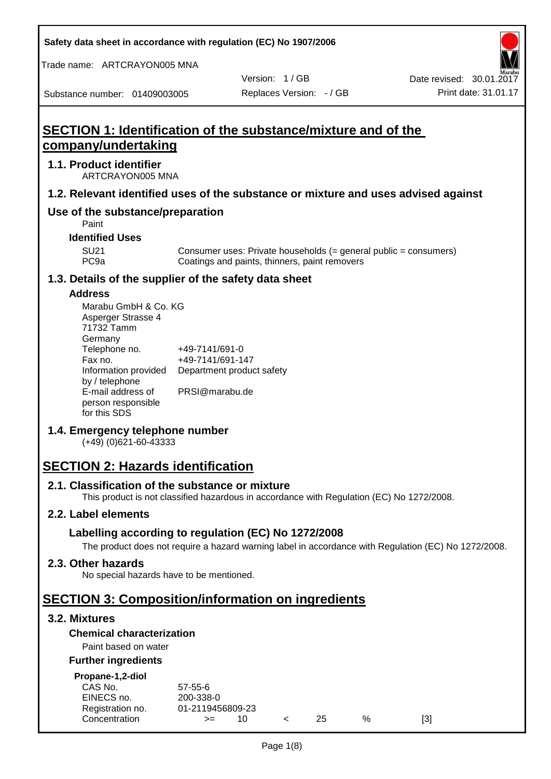**Safety data sheet in accordance with regulation (EC) No 1907/2006**

Trade name: ARTCRAYON005 MNA

Version: 1 / GB

Substance number: 01409003005

# **SECTION 1: Identification of the substance/mixture and of the company/undertaking**

## **1.1. Product identifier**

ARTCRAYON005 MNA

#### **1.2. Relevant identified uses of the substance or mixture and uses advised against**

# **Use of the substance/preparation**

Paint

**Identified Uses**

SU21 Consumer uses: Private households (= general public = consumers)<br>PC9a Coatings and paints, thinners, paint removers Coatings and paints, thinners, paint removers

#### **1.3. Details of the supplier of the safety data sheet**

#### **Address**

| Marabu GmbH & Co. KG |                           |
|----------------------|---------------------------|
| Asperger Strasse 4   |                           |
| 71732 Tamm           |                           |
| Germany              |                           |
| Telephone no.        | +49-7141/691-0            |
| Fax no.              | +49-7141/691-147          |
| Information provided | Department product safety |
| by / telephone       |                           |
| E-mail address of    | PRSI@marabu.de            |
| person responsible   |                           |
| for this SDS         |                           |

## **1.4. Emergency telephone number**

(+49) (0)621-60-43333

# **SECTION 2: Hazards identification**

#### **2.1. Classification of the substance or mixture**

This product is not classified hazardous in accordance with Regulation (EC) No 1272/2008.

## **2.2. Label elements**

## **Labelling according to regulation (EC) No 1272/2008**

The product does not require a hazard warning label in accordance with Regulation (EC) No 1272/2008.

#### **2.3. Other hazards**

No special hazards have to be mentioned.

# **SECTION 3: Composition/information on ingredients**

## **3.2. Mixtures**

## **Chemical characterization**

## Paint based on water

#### **Further ingredients**

| Propane-1,2-diol |  |
|------------------|--|
|                  |  |

| CAS No.          | $57 - 55 - 6$    |  |     |   |     |
|------------------|------------------|--|-----|---|-----|
| EINECS no.       | 200-338-0        |  |     |   |     |
| Registration no. | 01-2119456809-23 |  |     |   |     |
| Concentration    | $>=$             |  | 25. | % | [3] |
|                  |                  |  |     |   |     |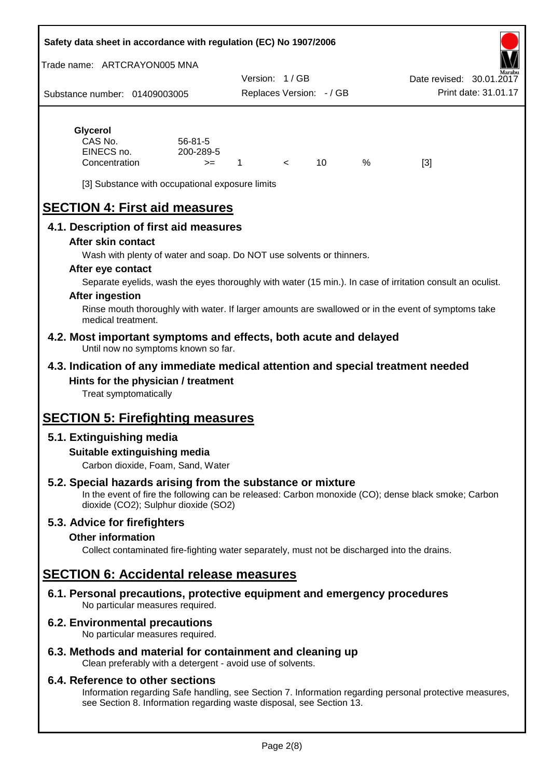#### **Safety data sheet in accordance with regulation (EC) No 1907/2006**

Trade name: ARTCRAYON005 MNA

Substance number: 01409003005 Version: 1 / GB Replaces Version: - / GB Print date: 31.01.17 Date revised: 30.01.2

# **Glycerol**

| CAS No.       | $56 - 81 - 5$ |  |   |     |
|---------------|---------------|--|---|-----|
| EINECS no.    | 200-289-5     |  |   |     |
| Concentration | >=            |  | % | [3] |

[3] Substance with occupational exposure limits

# **SECTION 4: First aid measures**

## **4.1. Description of first aid measures**

#### **After skin contact**

Wash with plenty of water and soap. Do NOT use solvents or thinners.

#### **After eye contact**

Separate eyelids, wash the eyes thoroughly with water (15 min.). In case of irritation consult an oculist.

#### **After ingestion**

Rinse mouth thoroughly with water. If larger amounts are swallowed or in the event of symptoms take medical treatment.

#### **4.2. Most important symptoms and effects, both acute and delayed** Until now no symptoms known so far.

## **4.3. Indication of any immediate medical attention and special treatment needed Hints for the physician / treatment**

Treat symptomatically

# **SECTION 5: Firefighting measures**

## **5.1. Extinguishing media**

## **Suitable extinguishing media**

Carbon dioxide, Foam, Sand, Water

# **5.2. Special hazards arising from the substance or mixture**

In the event of fire the following can be released: Carbon monoxide (CO); dense black smoke; Carbon dioxide (CO2); Sulphur dioxide (SO2)

## **5.3. Advice for firefighters**

#### **Other information**

Collect contaminated fire-fighting water separately, must not be discharged into the drains.

# **SECTION 6: Accidental release measures**

**6.1. Personal precautions, protective equipment and emergency procedures** No particular measures required.

## **6.2. Environmental precautions**

No particular measures required.

## **6.3. Methods and material for containment and cleaning up**

Clean preferably with a detergent - avoid use of solvents.

#### **6.4. Reference to other sections**

Information regarding Safe handling, see Section 7. Information regarding personal protective measures, see Section 8. Information regarding waste disposal, see Section 13.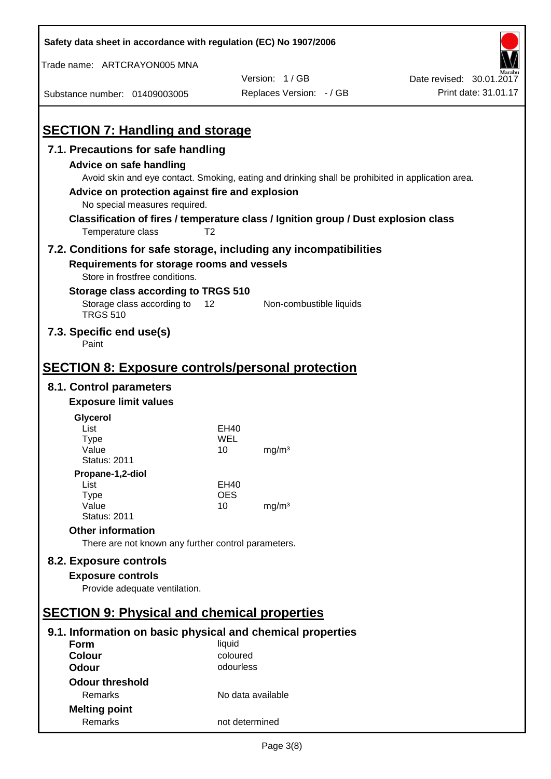| Safety data sheet in accordance with regulation (EC) No 1907/2006                   |                   |                                                                                                   |                          |
|-------------------------------------------------------------------------------------|-------------------|---------------------------------------------------------------------------------------------------|--------------------------|
| Trade name: ARTCRAYON005 MNA                                                        |                   |                                                                                                   |                          |
|                                                                                     |                   | Version: 1/GB                                                                                     | Date revised: 30.01.2017 |
| Substance number: 01409003005                                                       |                   | Replaces Version: - / GB                                                                          | Print date: 31.01.17     |
|                                                                                     |                   |                                                                                                   |                          |
| <b>SECTION 7: Handling and storage</b>                                              |                   |                                                                                                   |                          |
| 7.1. Precautions for safe handling                                                  |                   |                                                                                                   |                          |
| <b>Advice on safe handling</b>                                                      |                   |                                                                                                   |                          |
|                                                                                     |                   | Avoid skin and eye contact. Smoking, eating and drinking shall be prohibited in application area. |                          |
| Advice on protection against fire and explosion                                     |                   |                                                                                                   |                          |
| No special measures required.                                                       |                   |                                                                                                   |                          |
| Classification of fires / temperature class / Ignition group / Dust explosion class |                   |                                                                                                   |                          |
| Temperature class                                                                   | T <sub>2</sub>    |                                                                                                   |                          |
| 7.2. Conditions for safe storage, including any incompatibilities                   |                   |                                                                                                   |                          |
| Requirements for storage rooms and vessels                                          |                   |                                                                                                   |                          |
| Store in frostfree conditions.                                                      |                   |                                                                                                   |                          |
| Storage class according to TRGS 510                                                 |                   |                                                                                                   |                          |
| Storage class according to<br><b>TRGS 510</b>                                       | 12                | Non-combustible liquids                                                                           |                          |
| 7.3. Specific end use(s)<br>Paint                                                   |                   |                                                                                                   |                          |
|                                                                                     |                   |                                                                                                   |                          |
| <b>SECTION 8: Exposure controls/personal protection</b>                             |                   |                                                                                                   |                          |
| 8.1. Control parameters                                                             |                   |                                                                                                   |                          |
| <b>Exposure limit values</b>                                                        |                   |                                                                                                   |                          |
| Glycerol                                                                            |                   |                                                                                                   |                          |
| List                                                                                | EH40              |                                                                                                   |                          |
| <b>Type</b><br>Value                                                                | WEL<br>10         | mg/m <sup>3</sup>                                                                                 |                          |
| <b>Status: 2011</b>                                                                 |                   |                                                                                                   |                          |
| Propane-1,2-diol                                                                    |                   |                                                                                                   |                          |
| List                                                                                | EH40              |                                                                                                   |                          |
| <b>Type</b><br>Value                                                                | <b>OES</b><br>10  | mg/m <sup>3</sup>                                                                                 |                          |
| <b>Status: 2011</b>                                                                 |                   |                                                                                                   |                          |
| <b>Other information</b>                                                            |                   |                                                                                                   |                          |
| There are not known any further control parameters.                                 |                   |                                                                                                   |                          |
| 8.2. Exposure controls                                                              |                   |                                                                                                   |                          |
| <b>Exposure controls</b>                                                            |                   |                                                                                                   |                          |
| Provide adequate ventilation.                                                       |                   |                                                                                                   |                          |
|                                                                                     |                   |                                                                                                   |                          |
| <b>SECTION 9: Physical and chemical properties</b>                                  |                   |                                                                                                   |                          |
| 9.1. Information on basic physical and chemical properties                          |                   |                                                                                                   |                          |
| Form                                                                                | liquid            |                                                                                                   |                          |
| <b>Colour</b>                                                                       | coloured          |                                                                                                   |                          |
| <b>Odour</b>                                                                        | odourless         |                                                                                                   |                          |
| <b>Odour threshold</b>                                                              |                   |                                                                                                   |                          |
| Remarks                                                                             | No data available |                                                                                                   |                          |
| <b>Melting point</b>                                                                |                   |                                                                                                   |                          |
| Remarks                                                                             | not determined    |                                                                                                   |                          |

 $\mathbf{r}$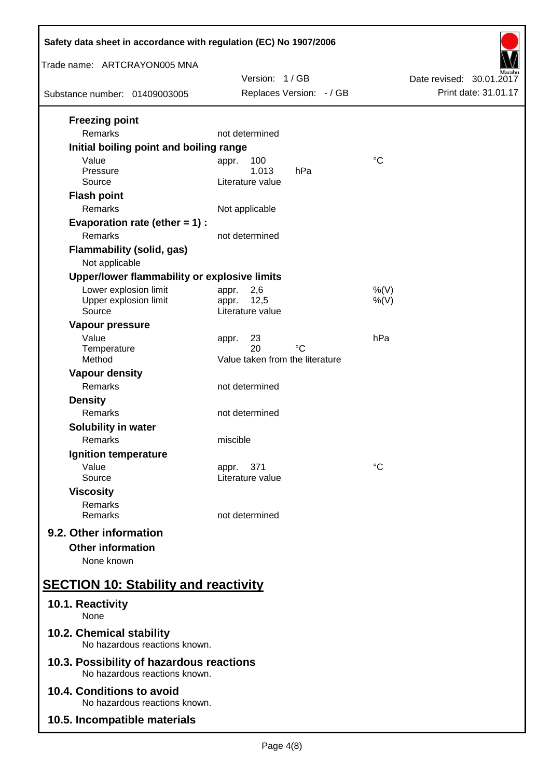| Safety data sheet in accordance with regulation (EC) No 1907/2006         |                                             |                          |  |  |
|---------------------------------------------------------------------------|---------------------------------------------|--------------------------|--|--|
| Trade name: ARTCRAYON005 MNA                                              | Version: 1/GB                               | Date revised: 30.01.2017 |  |  |
| Substance number: 01409003005                                             | Replaces Version: - / GB                    | Print date: 31.01.17     |  |  |
| <b>Freezing point</b><br>Remarks                                          | not determined                              |                          |  |  |
| Initial boiling point and boiling range                                   |                                             |                          |  |  |
| Value<br>Pressure                                                         | 100<br>appr.<br>1.013<br>hPa                | $\rm ^{\circ}C$          |  |  |
| Source                                                                    | Literature value                            |                          |  |  |
| <b>Flash point</b><br>Remarks                                             | Not applicable                              |                          |  |  |
| Evaporation rate (ether $= 1$ ) :<br>Remarks                              | not determined                              |                          |  |  |
| <b>Flammability (solid, gas)</b>                                          |                                             |                          |  |  |
| Not applicable                                                            |                                             |                          |  |  |
| Upper/lower flammability or explosive limits                              |                                             |                          |  |  |
| Lower explosion limit<br>Upper explosion limit                            | 2,6<br>appr.<br>12,5                        | $%$ (V)                  |  |  |
| Source                                                                    | appr.<br>Literature value                   | $%$ (V)                  |  |  |
| Vapour pressure                                                           |                                             |                          |  |  |
| Value                                                                     | 23<br>appr.                                 | hPa                      |  |  |
| Temperature<br>Method                                                     | 20<br>°C<br>Value taken from the literature |                          |  |  |
| <b>Vapour density</b>                                                     |                                             |                          |  |  |
| Remarks                                                                   | not determined                              |                          |  |  |
| <b>Density</b>                                                            |                                             |                          |  |  |
| Remarks                                                                   | not determined                              |                          |  |  |
| Solubility in water                                                       |                                             |                          |  |  |
| Remarks<br>Ignition temperature                                           | miscible                                    |                          |  |  |
| Value                                                                     | 371<br>appr.                                | °C                       |  |  |
| Source                                                                    | Literature value                            |                          |  |  |
| <b>Viscosity</b>                                                          |                                             |                          |  |  |
| Remarks<br>Remarks                                                        | not determined                              |                          |  |  |
| 9.2. Other information                                                    |                                             |                          |  |  |
| <b>Other information</b>                                                  |                                             |                          |  |  |
| None known                                                                |                                             |                          |  |  |
| <b>SECTION 10: Stability and reactivity</b>                               |                                             |                          |  |  |
| 10.1. Reactivity<br>None                                                  |                                             |                          |  |  |
| 10.2. Chemical stability<br>No hazardous reactions known.                 |                                             |                          |  |  |
| 10.3. Possibility of hazardous reactions<br>No hazardous reactions known. |                                             |                          |  |  |
| 10.4. Conditions to avoid<br>No hazardous reactions known.                |                                             |                          |  |  |
| 10.5. Incompatible materials                                              |                                             |                          |  |  |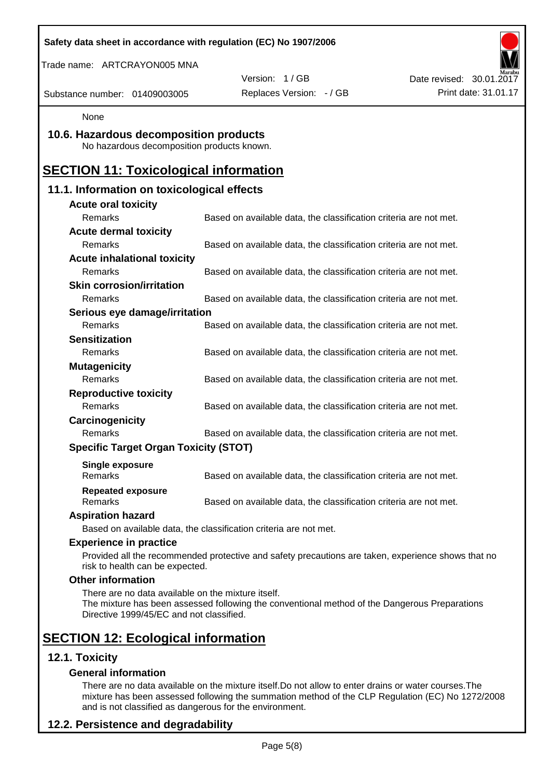| Trade name: ARTCRAYON005 MNA<br>Version: 1/GB<br>Replaces Version: - / GB<br>Substance number: 01409003005<br>None<br>10.6. Hazardous decomposition products<br>No hazardous decomposition products known.<br><b>SECTION 11: Toxicological information</b><br>11.1. Information on toxicological effects<br><b>Acute oral toxicity</b><br>Remarks<br>Based on available data, the classification criteria are not met.<br><b>Acute dermal toxicity</b><br>Remarks<br>Based on available data, the classification criteria are not met.<br><b>Acute inhalational toxicity</b><br>Remarks<br>Based on available data, the classification criteria are not met.<br><b>Skin corrosion/irritation</b><br>Remarks<br>Based on available data, the classification criteria are not met.<br>Serious eye damage/irritation<br>Remarks<br>Based on available data, the classification criteria are not met.<br><b>Sensitization</b><br>Remarks<br>Based on available data, the classification criteria are not met.<br><b>Mutagenicity</b><br>Remarks<br>Based on available data, the classification criteria are not met.<br><b>Reproductive toxicity</b><br>Remarks<br>Based on available data, the classification criteria are not met.<br>Carcinogenicity<br>Remarks<br>Based on available data, the classification criteria are not met.<br><b>Specific Target Organ Toxicity (STOT)</b><br><b>Single exposure</b><br>Remarks<br>Based on available data, the classification criteria are not met.<br><b>Repeated exposure</b><br>Based on available data, the classification criteria are not met.<br>Remarks<br><b>Aspiration hazard</b><br>Based on available data, the classification criteria are not met.<br><b>Experience in practice</b><br>Provided all the recommended protective and safety precautions are taken, experience shows that no<br>risk to health can be expected.<br><b>Other information</b><br>There are no data available on the mixture itself.<br>The mixture has been assessed following the conventional method of the Dangerous Preparations<br>Directive 1999/45/EC and not classified.<br><b>SECTION 12: Ecological information</b> |                          |                      |
|------------------------------------------------------------------------------------------------------------------------------------------------------------------------------------------------------------------------------------------------------------------------------------------------------------------------------------------------------------------------------------------------------------------------------------------------------------------------------------------------------------------------------------------------------------------------------------------------------------------------------------------------------------------------------------------------------------------------------------------------------------------------------------------------------------------------------------------------------------------------------------------------------------------------------------------------------------------------------------------------------------------------------------------------------------------------------------------------------------------------------------------------------------------------------------------------------------------------------------------------------------------------------------------------------------------------------------------------------------------------------------------------------------------------------------------------------------------------------------------------------------------------------------------------------------------------------------------------------------------------------------------------------------------------------------------------------------------------------------------------------------------------------------------------------------------------------------------------------------------------------------------------------------------------------------------------------------------------------------------------------------------------------------------------------------------------------------------------------------------------------------------------------------------|--------------------------|----------------------|
|                                                                                                                                                                                                                                                                                                                                                                                                                                                                                                                                                                                                                                                                                                                                                                                                                                                                                                                                                                                                                                                                                                                                                                                                                                                                                                                                                                                                                                                                                                                                                                                                                                                                                                                                                                                                                                                                                                                                                                                                                                                                                                                                                                  | Date revised: 30.01.2017 |                      |
|                                                                                                                                                                                                                                                                                                                                                                                                                                                                                                                                                                                                                                                                                                                                                                                                                                                                                                                                                                                                                                                                                                                                                                                                                                                                                                                                                                                                                                                                                                                                                                                                                                                                                                                                                                                                                                                                                                                                                                                                                                                                                                                                                                  |                          | Print date: 31.01.17 |
|                                                                                                                                                                                                                                                                                                                                                                                                                                                                                                                                                                                                                                                                                                                                                                                                                                                                                                                                                                                                                                                                                                                                                                                                                                                                                                                                                                                                                                                                                                                                                                                                                                                                                                                                                                                                                                                                                                                                                                                                                                                                                                                                                                  |                          |                      |
|                                                                                                                                                                                                                                                                                                                                                                                                                                                                                                                                                                                                                                                                                                                                                                                                                                                                                                                                                                                                                                                                                                                                                                                                                                                                                                                                                                                                                                                                                                                                                                                                                                                                                                                                                                                                                                                                                                                                                                                                                                                                                                                                                                  |                          |                      |
|                                                                                                                                                                                                                                                                                                                                                                                                                                                                                                                                                                                                                                                                                                                                                                                                                                                                                                                                                                                                                                                                                                                                                                                                                                                                                                                                                                                                                                                                                                                                                                                                                                                                                                                                                                                                                                                                                                                                                                                                                                                                                                                                                                  |                          |                      |
|                                                                                                                                                                                                                                                                                                                                                                                                                                                                                                                                                                                                                                                                                                                                                                                                                                                                                                                                                                                                                                                                                                                                                                                                                                                                                                                                                                                                                                                                                                                                                                                                                                                                                                                                                                                                                                                                                                                                                                                                                                                                                                                                                                  |                          |                      |
|                                                                                                                                                                                                                                                                                                                                                                                                                                                                                                                                                                                                                                                                                                                                                                                                                                                                                                                                                                                                                                                                                                                                                                                                                                                                                                                                                                                                                                                                                                                                                                                                                                                                                                                                                                                                                                                                                                                                                                                                                                                                                                                                                                  |                          |                      |
|                                                                                                                                                                                                                                                                                                                                                                                                                                                                                                                                                                                                                                                                                                                                                                                                                                                                                                                                                                                                                                                                                                                                                                                                                                                                                                                                                                                                                                                                                                                                                                                                                                                                                                                                                                                                                                                                                                                                                                                                                                                                                                                                                                  |                          |                      |
|                                                                                                                                                                                                                                                                                                                                                                                                                                                                                                                                                                                                                                                                                                                                                                                                                                                                                                                                                                                                                                                                                                                                                                                                                                                                                                                                                                                                                                                                                                                                                                                                                                                                                                                                                                                                                                                                                                                                                                                                                                                                                                                                                                  |                          |                      |
|                                                                                                                                                                                                                                                                                                                                                                                                                                                                                                                                                                                                                                                                                                                                                                                                                                                                                                                                                                                                                                                                                                                                                                                                                                                                                                                                                                                                                                                                                                                                                                                                                                                                                                                                                                                                                                                                                                                                                                                                                                                                                                                                                                  |                          |                      |
|                                                                                                                                                                                                                                                                                                                                                                                                                                                                                                                                                                                                                                                                                                                                                                                                                                                                                                                                                                                                                                                                                                                                                                                                                                                                                                                                                                                                                                                                                                                                                                                                                                                                                                                                                                                                                                                                                                                                                                                                                                                                                                                                                                  |                          |                      |
|                                                                                                                                                                                                                                                                                                                                                                                                                                                                                                                                                                                                                                                                                                                                                                                                                                                                                                                                                                                                                                                                                                                                                                                                                                                                                                                                                                                                                                                                                                                                                                                                                                                                                                                                                                                                                                                                                                                                                                                                                                                                                                                                                                  |                          |                      |
|                                                                                                                                                                                                                                                                                                                                                                                                                                                                                                                                                                                                                                                                                                                                                                                                                                                                                                                                                                                                                                                                                                                                                                                                                                                                                                                                                                                                                                                                                                                                                                                                                                                                                                                                                                                                                                                                                                                                                                                                                                                                                                                                                                  |                          |                      |
|                                                                                                                                                                                                                                                                                                                                                                                                                                                                                                                                                                                                                                                                                                                                                                                                                                                                                                                                                                                                                                                                                                                                                                                                                                                                                                                                                                                                                                                                                                                                                                                                                                                                                                                                                                                                                                                                                                                                                                                                                                                                                                                                                                  |                          |                      |
|                                                                                                                                                                                                                                                                                                                                                                                                                                                                                                                                                                                                                                                                                                                                                                                                                                                                                                                                                                                                                                                                                                                                                                                                                                                                                                                                                                                                                                                                                                                                                                                                                                                                                                                                                                                                                                                                                                                                                                                                                                                                                                                                                                  |                          |                      |
|                                                                                                                                                                                                                                                                                                                                                                                                                                                                                                                                                                                                                                                                                                                                                                                                                                                                                                                                                                                                                                                                                                                                                                                                                                                                                                                                                                                                                                                                                                                                                                                                                                                                                                                                                                                                                                                                                                                                                                                                                                                                                                                                                                  |                          |                      |
|                                                                                                                                                                                                                                                                                                                                                                                                                                                                                                                                                                                                                                                                                                                                                                                                                                                                                                                                                                                                                                                                                                                                                                                                                                                                                                                                                                                                                                                                                                                                                                                                                                                                                                                                                                                                                                                                                                                                                                                                                                                                                                                                                                  |                          |                      |
|                                                                                                                                                                                                                                                                                                                                                                                                                                                                                                                                                                                                                                                                                                                                                                                                                                                                                                                                                                                                                                                                                                                                                                                                                                                                                                                                                                                                                                                                                                                                                                                                                                                                                                                                                                                                                                                                                                                                                                                                                                                                                                                                                                  |                          |                      |
|                                                                                                                                                                                                                                                                                                                                                                                                                                                                                                                                                                                                                                                                                                                                                                                                                                                                                                                                                                                                                                                                                                                                                                                                                                                                                                                                                                                                                                                                                                                                                                                                                                                                                                                                                                                                                                                                                                                                                                                                                                                                                                                                                                  |                          |                      |
|                                                                                                                                                                                                                                                                                                                                                                                                                                                                                                                                                                                                                                                                                                                                                                                                                                                                                                                                                                                                                                                                                                                                                                                                                                                                                                                                                                                                                                                                                                                                                                                                                                                                                                                                                                                                                                                                                                                                                                                                                                                                                                                                                                  |                          |                      |
|                                                                                                                                                                                                                                                                                                                                                                                                                                                                                                                                                                                                                                                                                                                                                                                                                                                                                                                                                                                                                                                                                                                                                                                                                                                                                                                                                                                                                                                                                                                                                                                                                                                                                                                                                                                                                                                                                                                                                                                                                                                                                                                                                                  |                          |                      |
|                                                                                                                                                                                                                                                                                                                                                                                                                                                                                                                                                                                                                                                                                                                                                                                                                                                                                                                                                                                                                                                                                                                                                                                                                                                                                                                                                                                                                                                                                                                                                                                                                                                                                                                                                                                                                                                                                                                                                                                                                                                                                                                                                                  |                          |                      |
|                                                                                                                                                                                                                                                                                                                                                                                                                                                                                                                                                                                                                                                                                                                                                                                                                                                                                                                                                                                                                                                                                                                                                                                                                                                                                                                                                                                                                                                                                                                                                                                                                                                                                                                                                                                                                                                                                                                                                                                                                                                                                                                                                                  |                          |                      |
|                                                                                                                                                                                                                                                                                                                                                                                                                                                                                                                                                                                                                                                                                                                                                                                                                                                                                                                                                                                                                                                                                                                                                                                                                                                                                                                                                                                                                                                                                                                                                                                                                                                                                                                                                                                                                                                                                                                                                                                                                                                                                                                                                                  |                          |                      |
|                                                                                                                                                                                                                                                                                                                                                                                                                                                                                                                                                                                                                                                                                                                                                                                                                                                                                                                                                                                                                                                                                                                                                                                                                                                                                                                                                                                                                                                                                                                                                                                                                                                                                                                                                                                                                                                                                                                                                                                                                                                                                                                                                                  |                          |                      |
|                                                                                                                                                                                                                                                                                                                                                                                                                                                                                                                                                                                                                                                                                                                                                                                                                                                                                                                                                                                                                                                                                                                                                                                                                                                                                                                                                                                                                                                                                                                                                                                                                                                                                                                                                                                                                                                                                                                                                                                                                                                                                                                                                                  |                          |                      |
|                                                                                                                                                                                                                                                                                                                                                                                                                                                                                                                                                                                                                                                                                                                                                                                                                                                                                                                                                                                                                                                                                                                                                                                                                                                                                                                                                                                                                                                                                                                                                                                                                                                                                                                                                                                                                                                                                                                                                                                                                                                                                                                                                                  |                          |                      |
|                                                                                                                                                                                                                                                                                                                                                                                                                                                                                                                                                                                                                                                                                                                                                                                                                                                                                                                                                                                                                                                                                                                                                                                                                                                                                                                                                                                                                                                                                                                                                                                                                                                                                                                                                                                                                                                                                                                                                                                                                                                                                                                                                                  |                          |                      |
|                                                                                                                                                                                                                                                                                                                                                                                                                                                                                                                                                                                                                                                                                                                                                                                                                                                                                                                                                                                                                                                                                                                                                                                                                                                                                                                                                                                                                                                                                                                                                                                                                                                                                                                                                                                                                                                                                                                                                                                                                                                                                                                                                                  |                          |                      |
|                                                                                                                                                                                                                                                                                                                                                                                                                                                                                                                                                                                                                                                                                                                                                                                                                                                                                                                                                                                                                                                                                                                                                                                                                                                                                                                                                                                                                                                                                                                                                                                                                                                                                                                                                                                                                                                                                                                                                                                                                                                                                                                                                                  |                          |                      |
|                                                                                                                                                                                                                                                                                                                                                                                                                                                                                                                                                                                                                                                                                                                                                                                                                                                                                                                                                                                                                                                                                                                                                                                                                                                                                                                                                                                                                                                                                                                                                                                                                                                                                                                                                                                                                                                                                                                                                                                                                                                                                                                                                                  |                          |                      |
|                                                                                                                                                                                                                                                                                                                                                                                                                                                                                                                                                                                                                                                                                                                                                                                                                                                                                                                                                                                                                                                                                                                                                                                                                                                                                                                                                                                                                                                                                                                                                                                                                                                                                                                                                                                                                                                                                                                                                                                                                                                                                                                                                                  |                          |                      |
|                                                                                                                                                                                                                                                                                                                                                                                                                                                                                                                                                                                                                                                                                                                                                                                                                                                                                                                                                                                                                                                                                                                                                                                                                                                                                                                                                                                                                                                                                                                                                                                                                                                                                                                                                                                                                                                                                                                                                                                                                                                                                                                                                                  |                          |                      |
|                                                                                                                                                                                                                                                                                                                                                                                                                                                                                                                                                                                                                                                                                                                                                                                                                                                                                                                                                                                                                                                                                                                                                                                                                                                                                                                                                                                                                                                                                                                                                                                                                                                                                                                                                                                                                                                                                                                                                                                                                                                                                                                                                                  |                          |                      |
|                                                                                                                                                                                                                                                                                                                                                                                                                                                                                                                                                                                                                                                                                                                                                                                                                                                                                                                                                                                                                                                                                                                                                                                                                                                                                                                                                                                                                                                                                                                                                                                                                                                                                                                                                                                                                                                                                                                                                                                                                                                                                                                                                                  |                          |                      |
| 12.1. Toxicity                                                                                                                                                                                                                                                                                                                                                                                                                                                                                                                                                                                                                                                                                                                                                                                                                                                                                                                                                                                                                                                                                                                                                                                                                                                                                                                                                                                                                                                                                                                                                                                                                                                                                                                                                                                                                                                                                                                                                                                                                                                                                                                                                   |                          |                      |

There are no data available on the mixture itself.Do not allow to enter drains or water courses.The mixture has been assessed following the summation method of the CLP Regulation (EC) No 1272/2008 and is not classified as dangerous for the environment.

# **12.2. Persistence and degradability**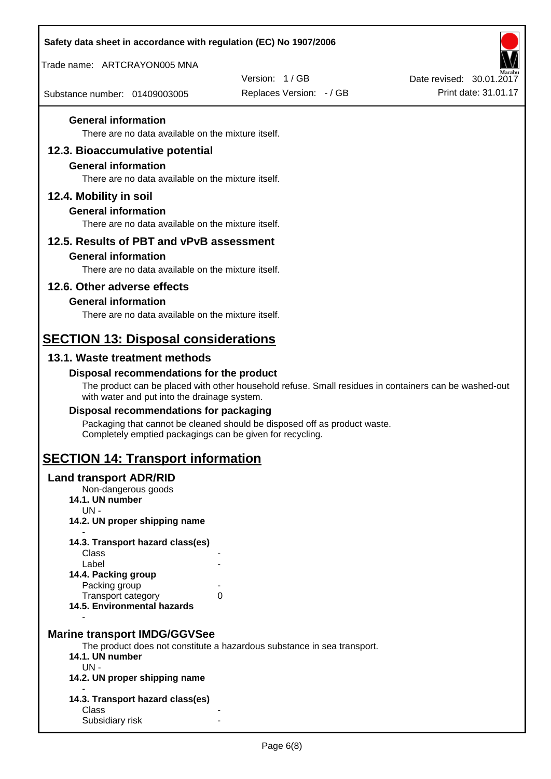| Safety data sheet in accordance with regulation (EC) No 1907/2006                |                                                                                                       |                                                  |
|----------------------------------------------------------------------------------|-------------------------------------------------------------------------------------------------------|--------------------------------------------------|
| Trade name: ARTCRAYON005 MNA                                                     |                                                                                                       |                                                  |
|                                                                                  | Version: 1/GB                                                                                         | Date revised: 30.01.2017<br>Print date: 31.01.17 |
| Substance number: 01409003005                                                    | Replaces Version: - / GB                                                                              |                                                  |
| <b>General information</b>                                                       |                                                                                                       |                                                  |
| There are no data available on the mixture itself.                               |                                                                                                       |                                                  |
| 12.3. Bioaccumulative potential                                                  |                                                                                                       |                                                  |
| <b>General information</b><br>There are no data available on the mixture itself. |                                                                                                       |                                                  |
|                                                                                  |                                                                                                       |                                                  |
| 12.4. Mobility in soil<br><b>General information</b>                             |                                                                                                       |                                                  |
| There are no data available on the mixture itself.                               |                                                                                                       |                                                  |
| 12.5. Results of PBT and vPvB assessment                                         |                                                                                                       |                                                  |
| <b>General information</b>                                                       |                                                                                                       |                                                  |
| There are no data available on the mixture itself.                               |                                                                                                       |                                                  |
| 12.6. Other adverse effects                                                      |                                                                                                       |                                                  |
| <b>General information</b>                                                       |                                                                                                       |                                                  |
| There are no data available on the mixture itself.                               |                                                                                                       |                                                  |
| <b>SECTION 13: Disposal considerations</b>                                       |                                                                                                       |                                                  |
| 13.1. Waste treatment methods                                                    |                                                                                                       |                                                  |
| Disposal recommendations for the product                                         |                                                                                                       |                                                  |
| with water and put into the drainage system.                                     | The product can be placed with other household refuse. Small residues in containers can be washed-out |                                                  |
| Disposal recommendations for packaging                                           |                                                                                                       |                                                  |
| Completely emptied packagings can be given for recycling.                        | Packaging that cannot be cleaned should be disposed off as product waste.                             |                                                  |
| <b>SECTION 14: Transport information</b>                                         |                                                                                                       |                                                  |
| <b>Land transport ADR/RID</b>                                                    |                                                                                                       |                                                  |
| Non-dangerous goods<br>14.1. UN number                                           |                                                                                                       |                                                  |
| $UN -$                                                                           |                                                                                                       |                                                  |
| 14.2. UN proper shipping name                                                    |                                                                                                       |                                                  |
| 14.3. Transport hazard class(es)<br>Class                                        |                                                                                                       |                                                  |
| Label                                                                            |                                                                                                       |                                                  |
| 14.4. Packing group                                                              |                                                                                                       |                                                  |
| Packing group<br><b>Transport category</b>                                       | 0                                                                                                     |                                                  |
| 14.5. Environmental hazards                                                      |                                                                                                       |                                                  |
|                                                                                  |                                                                                                       |                                                  |
| <b>Marine transport IMDG/GGVSee</b>                                              | The product does not constitute a hazardous substance in sea transport.                               |                                                  |
| 14.1. UN number                                                                  |                                                                                                       |                                                  |
| $UN -$<br>14.2. UN proper shipping name                                          |                                                                                                       |                                                  |
|                                                                                  |                                                                                                       |                                                  |
| 14.3. Transport hazard class(es)<br>Class                                        |                                                                                                       |                                                  |
| Subsidiary risk                                                                  |                                                                                                       |                                                  |
|                                                                                  |                                                                                                       |                                                  |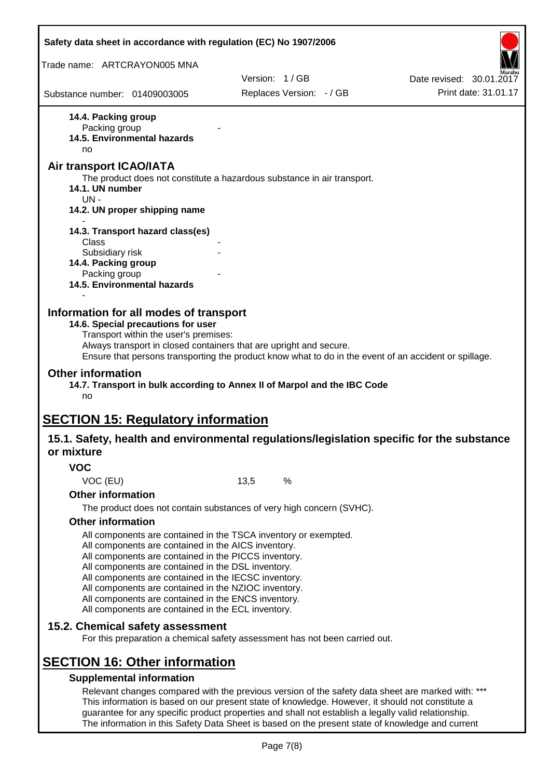| Safety data sheet in accordance with regulation (EC) No 1907/2006                                                                                                                                                                                                                                                                                                                                                                                                 |               |                          |                                                                                                       |
|-------------------------------------------------------------------------------------------------------------------------------------------------------------------------------------------------------------------------------------------------------------------------------------------------------------------------------------------------------------------------------------------------------------------------------------------------------------------|---------------|--------------------------|-------------------------------------------------------------------------------------------------------|
| Trade name: ARTCRAYON005 MNA                                                                                                                                                                                                                                                                                                                                                                                                                                      |               |                          |                                                                                                       |
|                                                                                                                                                                                                                                                                                                                                                                                                                                                                   | Version: 1/GB |                          | Date revised: 30.01.2017                                                                              |
| Substance number: 01409003005                                                                                                                                                                                                                                                                                                                                                                                                                                     |               | Replaces Version: - / GB | Print date: 31.01.17                                                                                  |
| 14.4. Packing group<br>Packing group<br>14.5. Environmental hazards<br>no<br><b>Air transport ICAO/IATA</b>                                                                                                                                                                                                                                                                                                                                                       |               |                          |                                                                                                       |
| The product does not constitute a hazardous substance in air transport.<br>14.1. UN number<br>$UN -$                                                                                                                                                                                                                                                                                                                                                              |               |                          |                                                                                                       |
| 14.2. UN proper shipping name                                                                                                                                                                                                                                                                                                                                                                                                                                     |               |                          |                                                                                                       |
| 14.3. Transport hazard class(es)<br>Class<br>Subsidiary risk                                                                                                                                                                                                                                                                                                                                                                                                      |               |                          |                                                                                                       |
| 14.4. Packing group<br>Packing group<br>14.5. Environmental hazards                                                                                                                                                                                                                                                                                                                                                                                               |               |                          |                                                                                                       |
| Information for all modes of transport<br>14.6. Special precautions for user<br>Transport within the user's premises:<br>Always transport in closed containers that are upright and secure.                                                                                                                                                                                                                                                                       |               |                          | Ensure that persons transporting the product know what to do in the event of an accident or spillage. |
| <b>Other information</b><br>14.7. Transport in bulk according to Annex II of Marpol and the IBC Code<br>no                                                                                                                                                                                                                                                                                                                                                        |               |                          |                                                                                                       |
| <b>SECTION 15: Regulatory information</b>                                                                                                                                                                                                                                                                                                                                                                                                                         |               |                          |                                                                                                       |
| 15.1. Safety, health and environmental regulations/legislation specific for the substance<br>or mixture                                                                                                                                                                                                                                                                                                                                                           |               |                          |                                                                                                       |
| <b>VOC</b>                                                                                                                                                                                                                                                                                                                                                                                                                                                        |               |                          |                                                                                                       |
| VOC (EU)                                                                                                                                                                                                                                                                                                                                                                                                                                                          | 13,5          | %                        |                                                                                                       |
| <b>Other information</b>                                                                                                                                                                                                                                                                                                                                                                                                                                          |               |                          |                                                                                                       |
| The product does not contain substances of very high concern (SVHC).<br><b>Other information</b>                                                                                                                                                                                                                                                                                                                                                                  |               |                          |                                                                                                       |
| All components are contained in the TSCA inventory or exempted.<br>All components are contained in the AICS inventory.<br>All components are contained in the PICCS inventory.<br>All components are contained in the DSL inventory.<br>All components are contained in the IECSC inventory.<br>All components are contained in the NZIOC inventory.<br>All components are contained in the ENCS inventory.<br>All components are contained in the ECL inventory. |               |                          |                                                                                                       |
| 15.2. Chemical safety assessment<br>For this preparation a chemical safety assessment has not been carried out.                                                                                                                                                                                                                                                                                                                                                   |               |                          |                                                                                                       |
| <b>SECTION 16: Other information</b>                                                                                                                                                                                                                                                                                                                                                                                                                              |               |                          |                                                                                                       |
| <b>Supplemental information</b>                                                                                                                                                                                                                                                                                                                                                                                                                                   |               |                          |                                                                                                       |
| Relevant changes compared with the previous version of the safety data sheet are marked with: ***<br>This information is based on our present state of knowledge. However, it should not constitute a<br>guarantee for any specific product properties and shall not establish a legally valid relationship.                                                                                                                                                      |               |                          |                                                                                                       |

The information in this Safety Data Sheet is based on the present state of knowledge and current